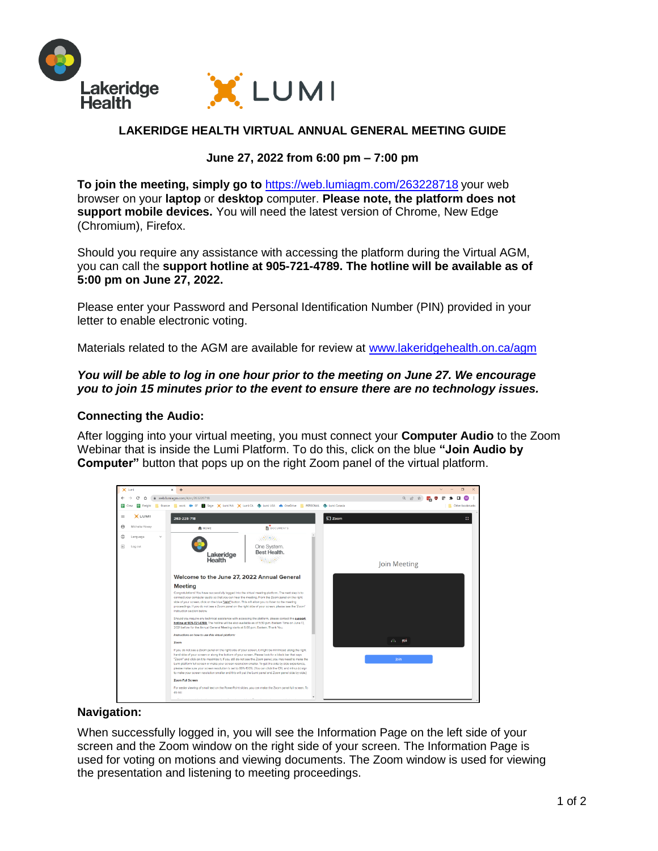

# **LAKERIDGE HEALTH VIRTUAL ANNUAL GENERAL MEETING GUIDE**

## **June 27, 2022 from 6:00 pm – 7:00 pm**

**To join the meeting, simply go to** <https://web.lumiagm.com/263228718> your web browser on your **laptop** or **desktop** computer. **Please note, the platform does not support mobile devices.** You will need the latest version of Chrome, New Edge (Chromium), Firefox.

Should you require any assistance with accessing the platform during the Virtual AGM, you can call the **support hotline at 905-721-4789. The hotline will be available as of 5:00 pm on June 27, 2022.** 

Please enter your Password and Personal Identification Number (PIN) provided in your letter to enable electronic voting.

Materials related to the AGM are available for review at [www.lakeridgehealth.on.ca/agm](http://www.lakeridgehealth.on.ca/agm)

### *You will be able to log in one hour prior to the meeting on June 27. We encourage you to join 15 minutes prior to the event to ensure there are no technology issues.*

#### **Connecting the Audio:**

After logging into your virtual meeting, you must connect your **Computer Audio** to the Zoom Webinar that is inside the Lumi Platform. To do this, click on the blue **"Join Audio by Computer"** button that pops up on the right Zoom panel of the virtual platform.



#### **Navigation:**

When successfully logged in, you will see the Information Page on the left side of your screen and the Zoom window on the right side of your screen. The Information Page is used for voting on motions and viewing documents. The Zoom window is used for viewing the presentation and listening to meeting proceedings.